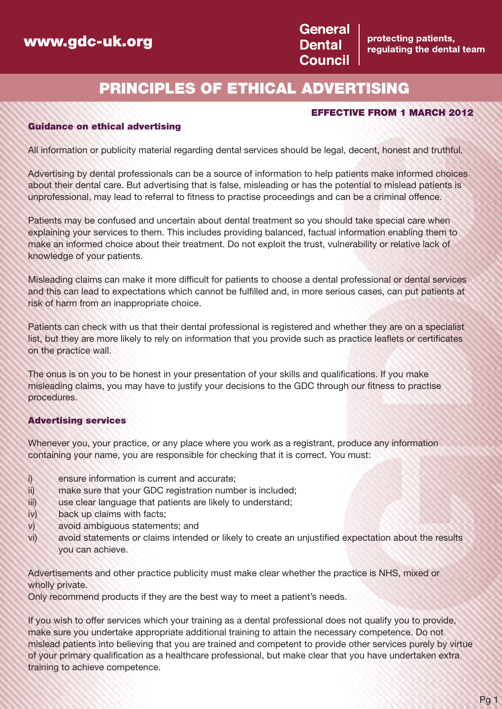## **www.gdc-uk.org**



protecting patients, regulating the dental team

# **PRINCIPLES OF ETHICAL ADVERTISING**

### **EFFECTIVE FROM 1 MARCH 2012**

#### **Guidance on ethical advertising**

All information or publicity material regarding dental services should be legal, decent, honest and truthful.

Advertising by dental professionals can be a source of information to help patients make informed choices about their dental care. But advertising that is false, misleading or has the potential to mislead patients is unprofessional, may lead to referral to fitness to practise proceedings and can be a criminal offence.

Patients may be confused and uncertain about dental treatment so you should take special care when explaining your services to them. This includes providing balanced, factual information enabling them to make an informed choice about their treatment. Do not exploit the trust, vulnerability or relative lack of knowledge of your patients.

Misleading claims can make it more difficult for patients to choose a dental professional or dental services and this can lead to expectations which cannot be fulfilled and, in more serious cases, can put patients at risk of harm from an inappropriate choice.

Patients can check with us that their dental professional is registered and whether they are on a specialist list, but they are more likely to rely on information that you provide such as practice leaflets or certificates on the practice wall.

The onus is on you to be honest in your presentation of your skills and qualifications. If you make misleading claims, you may have to justify your decisions to the GDC through our fitness to practise procedures.

#### **Advertising services**

Whenever you, your practice, or any place where you work as a registrant, produce any information containing your name, you are responsible for checking that it is correct. You must:

- i) ensure information is current and accurate;
- ii) make sure that your GDC registration number is included;
- iii) use clear language that patients are likely to understand;
- iv) back up claims with facts;
- v) avoid ambiguous statements; and
- vi) avoid statements or claims intended or likely to create an unjustified expectation about the results you can achieve.

Advertisements and other practice publicity must make clear whether the practice is NHS, mixed or wholly private.

Only recommend products if they are the best way to meet a patient's needs.

If you wish to offer services which your training as a dental professional does not qualify you to provide, make sure you undertake appropriate additional training to attain the necessary competence. Do not mislead patients into believing that you are trained and competent to provide other services purely by virtue of your primary qualification as a healthcare professional, but make clear that you have undertaken extra training to achieve competence.